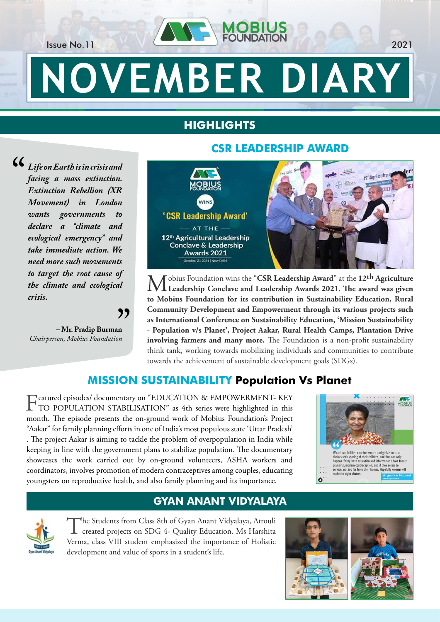Issue No.11 2021

# **NOVEMBER DIARY**

## **HIGHLIGHTS**

**CO** Life on Earth is in crisis and<br>facing a mass extinction.<br>Extinction Rebellion (XR *facing a mass extinction. Extinction Rebellion (XR Movement) in London wants governments to declare a "climate and ecological emergency" and take immediate action. We need more such movements to target the root cause of the climate and ecological crisis.* 

**– Mr. Pradip Burman** *Chairperson, Mobius Foundation*  $\sum_{n=1}^{\infty}$ 

## **CSR LEADERSHIP AWARD**



obius Foundation wins the "CSR Leadership Award" at the 12th Agriculture **Leadership Conclave and Leadership Awards 2021. The award was given to Mobius Foundation for its contribution in Sustainability Education, Rural Community Development and Empowerment through its various projects such as International Conference on Sustainability Education, 'Mission Sustainability - Population v/s Planet', Project Aakar, Rural Health Camps, Plantation Drive involving farmers and many more.** The Foundation is a non-profit sustainability think tank, working towards mobilizing individuals and communities to contribute towards the achievement of sustainable development goals (SDGs).

## **MISSION SUSTAINABILITY Population Vs Planet**

Featured episodes/ documentary on "EDUCATION & EMPOWERMENT- KEY<br>TO POPULATION STABILISATION" as 4th series were highlighted in this month. The episode presents the on-ground work of Mobius Foundation's Project "Aakar" for family planning efforts in one of India's most populous state 'Uttar Pradesh' . The project Aakar is aiming to tackle the problem of overpopulation in India while keeping in line with the government plans to stabilize population. The documentary showcases the work carried out by on-ground volunteers, ASHA workers and coordinators, involves promotion of modern contraceptives among couples, educating youngsters on reproductive health, and also family planning and its importance.



#### **GYAN ANANT VIDYALAYA**



The Students from Class 8th of Gyan Anant Vidyalaya, Atrouli<br>created projects on SDG 4- Quality Education. Ms Harshita Verma, class VIII student emphasized the importance of Holistic development and value of sports in a student's life.